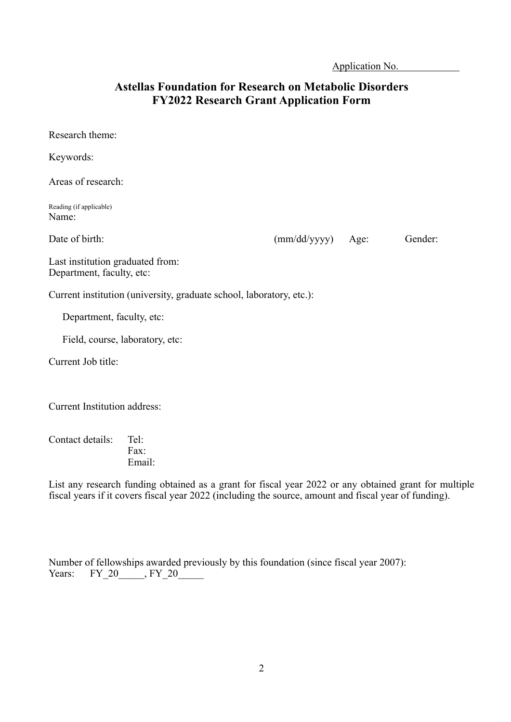Application No. .

## **Astellas Foundation for Research on Metabolic Disorders FY2022 Research Grant Application Form**

| Research theme:                                                      |              |      |         |
|----------------------------------------------------------------------|--------------|------|---------|
| Keywords:                                                            |              |      |         |
| Areas of research:                                                   |              |      |         |
| Reading (if applicable)<br>Name:                                     |              |      |         |
| Date of birth:                                                       | (mm/dd/yyyy) | Age: | Gender: |
| Last institution graduated from:<br>Department, faculty, etc:        |              |      |         |
| Current institution (university, graduate school, laboratory, etc.): |              |      |         |
| Department, faculty, etc:                                            |              |      |         |
| Field, course, laboratory, etc:                                      |              |      |         |
| Current Job title:                                                   |              |      |         |
| <b>Current Institution address:</b>                                  |              |      |         |

Contact details: Tel: Fax: Email:

List any research funding obtained as a grant for fiscal year 2022 or any obtained grant for multiple fiscal years if it covers fiscal year 2022 (including the source, amount and fiscal year of funding).

| Number of fellowships awarded previously by this foundation (since fiscal year 2007): |  |  |  |  |
|---------------------------------------------------------------------------------------|--|--|--|--|
| Years: $FY$ 20, $FY$ 20                                                               |  |  |  |  |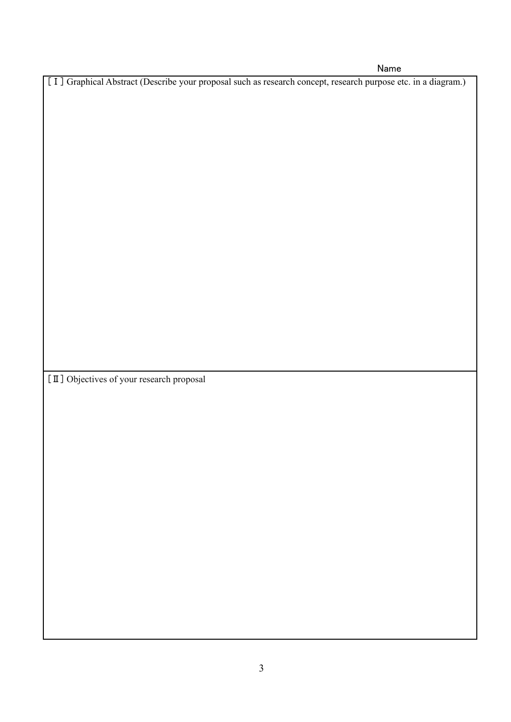Name

[Ⅰ] Graphical Abstract (Describe your proposal such as research concept, research purpose etc. in a diagram.)

[Ⅱ] Objectives of your research proposal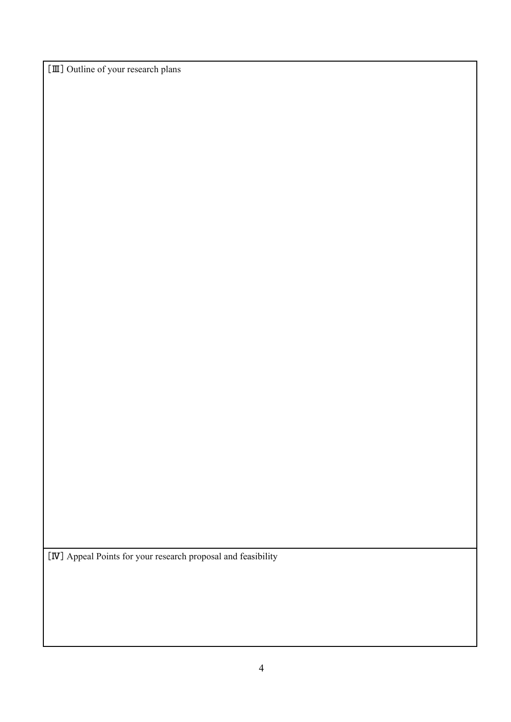[Ⅲ] Outline of your research plans

[Ⅳ] Appeal Points for your research proposal and feasibility